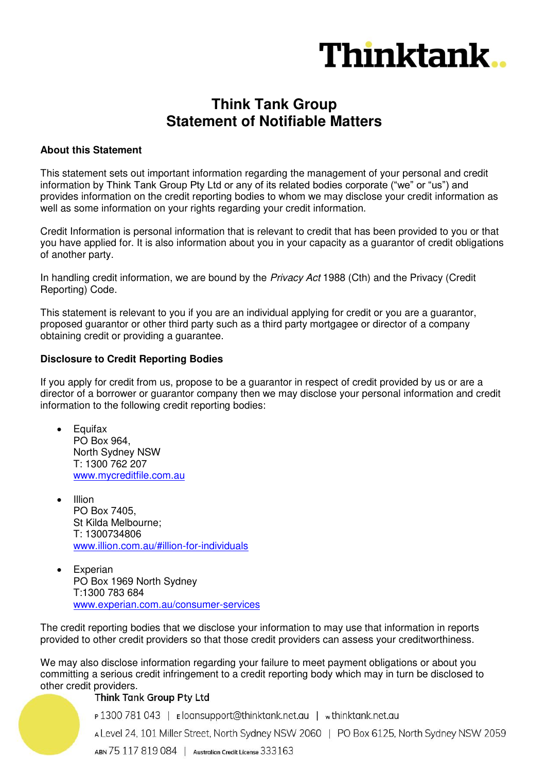

## **Think Tank Group Statement of Notifiable Matters**

#### **About this Statement**

This statement sets out important information regarding the management of your personal and credit information by Think Tank Group Pty Ltd or any of its related bodies corporate ("we" or "us") and provides information on the credit reporting bodies to whom we may disclose your credit information as well as some information on your rights regarding your credit information.

Credit Information is personal information that is relevant to credit that has been provided to you or that you have applied for. It is also information about you in your capacity as a guarantor of credit obligations of another party.

In handling credit information, we are bound by the *Privacy Act* 1988 (Cth) and the Privacy (Credit Reporting) Code.

This statement is relevant to you if you are an individual applying for credit or you are a guarantor, proposed guarantor or other third party such as a third party mortgagee or director of a company obtaining credit or providing a guarantee.

#### **Disclosure to Credit Reporting Bodies**

If you apply for credit from us, propose to be a guarantor in respect of credit provided by us or are a director of a borrower or guarantor company then we may disclose your personal information and credit information to the following credit reporting bodies:

- **Equifax** PO Box 964, North Sydney NSW T: 1300 762 207 [www.mycreditfile.com.au](http://www.mycreditfile.com.au/)
- $\bullet$  Illion PO Box 7405, St Kilda Melbourne; T: 1300734806 [www.illion.com.au/#illion-for-individuals](http://www.illion.com.au/#illion-for-individuals)
- Experian PO Box 1969 North Sydney T:1300 783 684 [www.experian.com.au/consumer-services](http://www.experian.com.au/consumer-services)

The credit reporting bodies that we disclose your information to may use that information in reports provided to other credit providers so that those credit providers can assess your creditworthiness.

We may also disclose information regarding your failure to meet payment obligations or about you committing a serious credit infringement to a credit reporting body which may in turn be disclosed to other credit providers.<br>Think Tank Group Pty Ltd

P1300 781 043 | Eloansupport@thinktank.net.au | wthinktank.net.au

A Level 24, 101 Miller Street, North Sydney NSW 2060 | PO Box 6125, North Sydney NSW 2059